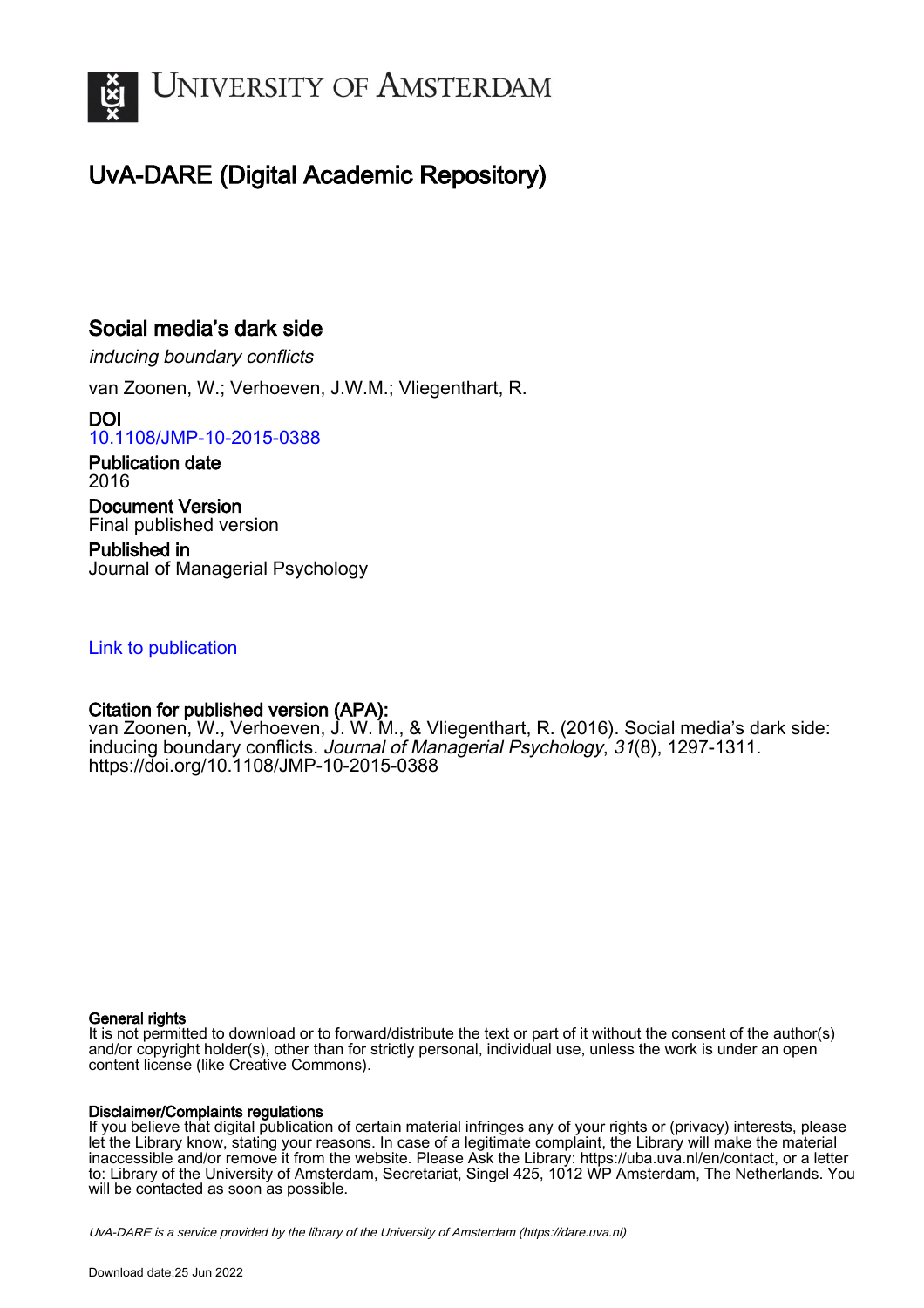

## UvA-DARE (Digital Academic Repository)

## Social media's dark side

inducing boundary conflicts

van Zoonen, W.; Verhoeven, J.W.M.; Vliegenthart, R.

DOI [10.1108/JMP-10-2015-0388](https://doi.org/10.1108/JMP-10-2015-0388)

Publication date 2016 Document Version Final published version

Published in Journal of Managerial Psychology

## [Link to publication](https://dare.uva.nl/personal/pure/en/publications/social-medias-dark-side(436ab74a-290e-4474-995b-9acb1ad5eee6).html)

## Citation for published version (APA):

van Zoonen, W., Verhoeven, J. W. M., & Vliegenthart, R. (2016). Social media's dark side: inducing boundary conflicts. Journal of Managerial Psychology, 31(8), 1297-1311. <https://doi.org/10.1108/JMP-10-2015-0388>

## General rights

It is not permitted to download or to forward/distribute the text or part of it without the consent of the author(s) and/or copyright holder(s), other than for strictly personal, individual use, unless the work is under an open content license (like Creative Commons).

## Disclaimer/Complaints regulations

If you believe that digital publication of certain material infringes any of your rights or (privacy) interests, please let the Library know, stating your reasons. In case of a legitimate complaint, the Library will make the material inaccessible and/or remove it from the website. Please Ask the Library: https://uba.uva.nl/en/contact, or a letter to: Library of the University of Amsterdam, Secretariat, Singel 425, 1012 WP Amsterdam, The Netherlands. You will be contacted as soon as possible.

UvA-DARE is a service provided by the library of the University of Amsterdam (http*s*://dare.uva.nl)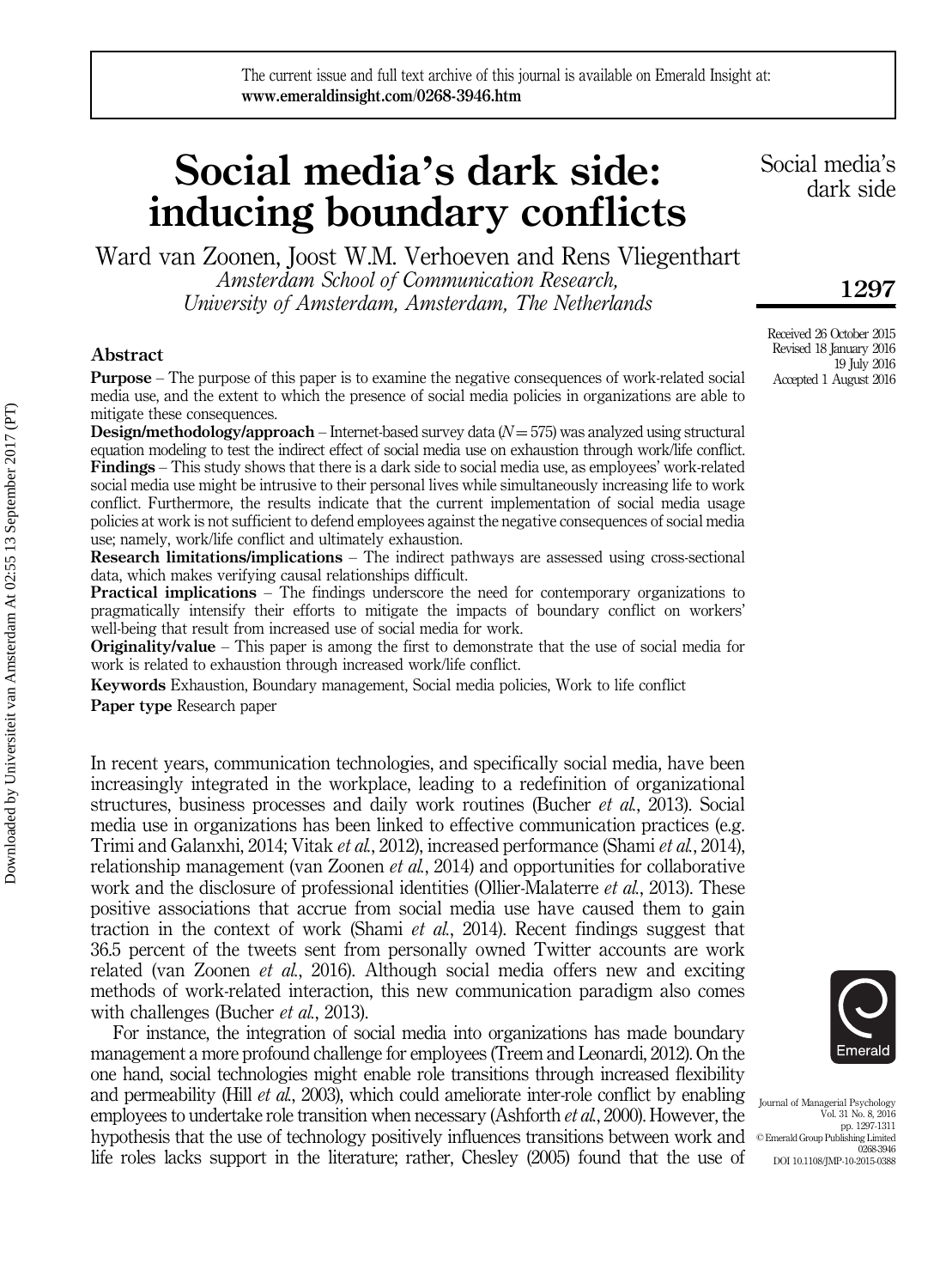# Social media's dark side: inducing boundary conflicts

Ward van Zoonen, Joost W.M. Verhoeven and Rens Vliegenthart

Amsterdam School of Communication Research, University of Amsterdam, Amsterdam, The Netherlands

#### Abstract

Purpose – The purpose of this paper is to examine the negative consequences of work-related social media use, and the extent to which the presence of social media policies in organizations are able to mitigate these consequences.

**Design/methodology/approach** – Internet-based survey data  $(N = 575)$  was analyzed using structural equation modeling to test the indirect effect of social media use on exhaustion through work/life conflict. Findings – This study shows that there is a dark side to social media use, as employees' work-related social media use might be intrusive to their personal lives while simultaneously increasing life to work conflict. Furthermore, the results indicate that the current implementation of social media usage policies at work is not sufficient to defend employees against the negative consequences of social media use; namely, work/life conflict and ultimately exhaustion.

Research limitations/implications – The indirect pathways are assessed using cross-sectional data, which makes verifying causal relationships difficult.

Practical implications – The findings underscore the need for contemporary organizations to pragmatically intensify their efforts to mitigate the impacts of boundary conflict on workers' well-being that result from increased use of social media for work.

**Originality/value** – This paper is among the first to demonstrate that the use of social media for work is related to exhaustion through increased work/life conflict.

Keywords Exhaustion, Boundary management, Social media policies, Work to life conflict

Paper type Research paper

In recent years, communication technologies, and specifically social media, have been increasingly integrated in the workplace, leading to a redefinition of organizational structures, business processes and daily work routines (Bucher *et al.*, 2013). Social media use in organizations has been linked to effective communication practices (e.g. Trimi and Galanxhi, 2014; Vitak et al., 2012), increased performance (Shami et al., 2014), relationship management (van Zoonen *et al.*, 2014) and opportunities for collaborative work and the disclosure of professional identities (Ollier-Malaterre *et al.*, 2013). These positive associations that accrue from social media use have caused them to gain traction in the context of work (Shami et al., 2014). Recent findings suggest that 36.5 percent of the tweets sent from personally owned Twitter accounts are work related (van Zoonen *et al.*, 2016). Although social media offers new and exciting methods of work-related interaction, this new communication paradigm also comes with challenges (Bucher *et al.*, 2013).

For instance, the integration of social media into organizations has made boundary management a more profound challenge for employees (Treem and Leonardi, 2012). On the one hand, social technologies might enable role transitions through increased flexibility and permeability (Hill *et al.*, 2003), which could ameliorate inter-role conflict by enabling employees to undertake role transition when necessary (Ashforth *et al.*, 2000). However, the hypothesis that the use of technology positively influences transitions between work and life roles lacks support in the literature; rather, Chesley (2005) found that the use of

Journal of Managerial Psychology Vol. 31 No. 8, 2016 pp. 1297-1311 © Emerald Group Publishing Limited 0268-3946 DOI 10.1108/JMP-10-2015-0388

1297

Received 26 October 2015 Revised 18 January 2016 19 July 2016 Accepted 1 August 2016

Social media's dark side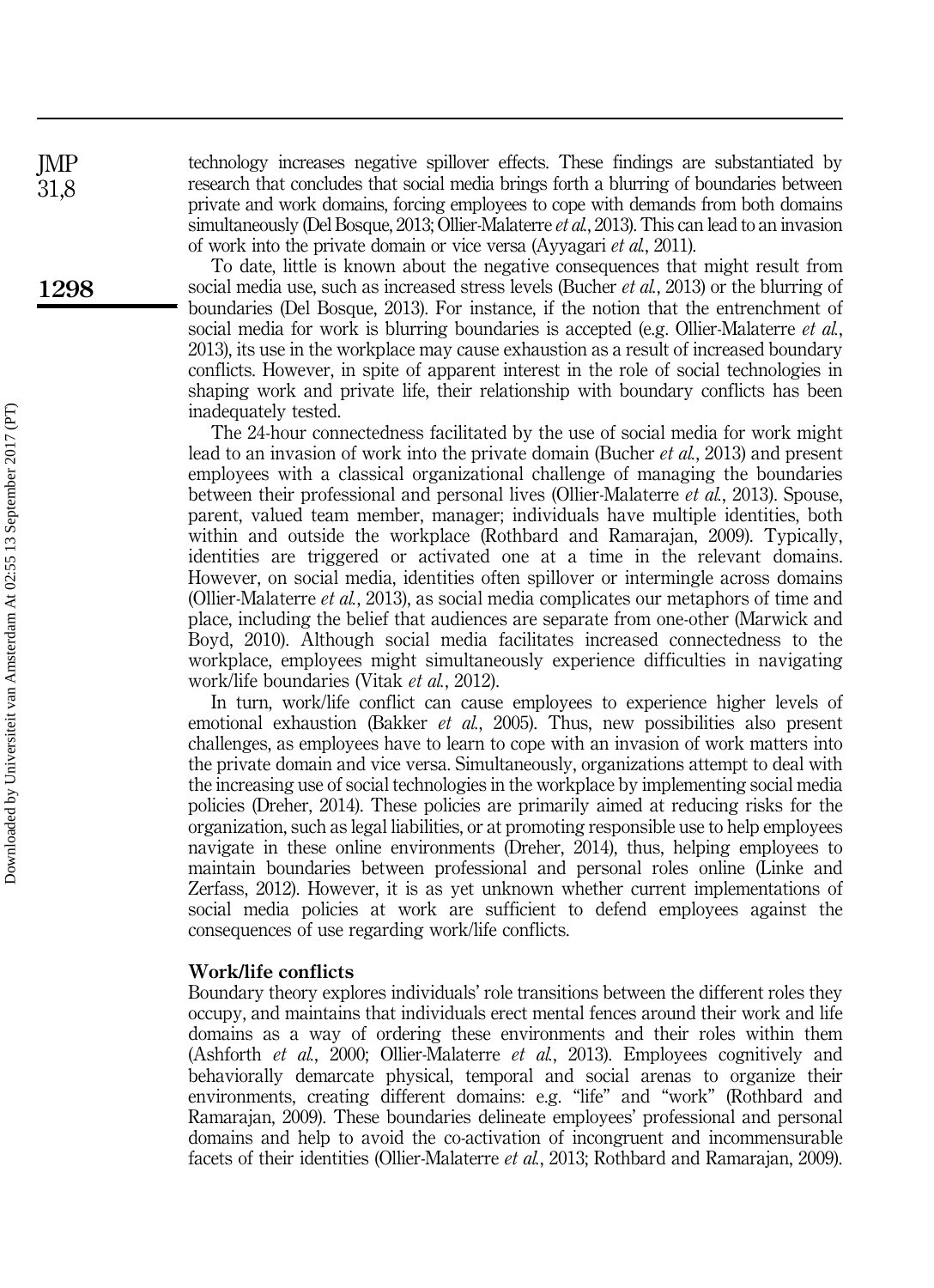technology increases negative spillover effects. These findings are substantiated by research that concludes that social media brings forth a blurring of boundaries between private and work domains, forcing employees to cope with demands from both domains simultaneously (Del Bosque, 2013; Ollier-Malaterre *et al.*, 2013). This can lead to an invasion of work into the private domain or vice versa (Ayyagari et al., 2011).

To date, little is known about the negative consequences that might result from social media use, such as increased stress levels (Bucher et al., 2013) or the blurring of boundaries (Del Bosque, 2013). For instance, if the notion that the entrenchment of social media for work is blurring boundaries is accepted (e.g. Ollier-Malaterre *et al.*, 2013), its use in the workplace may cause exhaustion as a result of increased boundary conflicts. However, in spite of apparent interest in the role of social technologies in shaping work and private life, their relationship with boundary conflicts has been inadequately tested.

The 24-hour connectedness facilitated by the use of social media for work might lead to an invasion of work into the private domain (Bucher et al., 2013) and present employees with a classical organizational challenge of managing the boundaries between their professional and personal lives (Ollier-Malaterre et al., 2013). Spouse, parent, valued team member, manager; individuals have multiple identities, both within and outside the workplace (Rothbard and Ramarajan, 2009). Typically, identities are triggered or activated one at a time in the relevant domains. However, on social media, identities often spillover or intermingle across domains (Ollier-Malaterre et al., 2013), as social media complicates our metaphors of time and place, including the belief that audiences are separate from one-other (Marwick and Boyd, 2010). Although social media facilitates increased connectedness to the workplace, employees might simultaneously experience difficulties in navigating work/life boundaries (Vitak et al., 2012).

In turn, work/life conflict can cause employees to experience higher levels of emotional exhaustion (Bakker et al., 2005). Thus, new possibilities also present challenges, as employees have to learn to cope with an invasion of work matters into the private domain and vice versa. Simultaneously, organizations attempt to deal with the increasing use of social technologies in the workplace by implementing social media policies (Dreher, 2014). These policies are primarily aimed at reducing risks for the organization, such as legal liabilities, or at promoting responsible use to help employees navigate in these online environments (Dreher, 2014), thus, helping employees to maintain boundaries between professional and personal roles online (Linke and Zerfass, 2012). However, it is as yet unknown whether current implementations of social media policies at work are sufficient to defend employees against the consequences of use regarding work/life conflicts.

#### Work/life conflicts

Boundary theory explores individuals' role transitions between the different roles they occupy, and maintains that individuals erect mental fences around their work and life domains as a way of ordering these environments and their roles within them (Ashforth et al., 2000; Ollier-Malaterre et al., 2013). Employees cognitively and behaviorally demarcate physical, temporal and social arenas to organize their environments, creating different domains: e.g. "life" and "work" (Rothbard and Ramarajan, 2009). These boundaries delineate employees' professional and personal domains and help to avoid the co-activation of incongruent and incommensurable facets of their identities (Ollier-Malaterre et al., 2013; Rothbard and Ramarajan, 2009).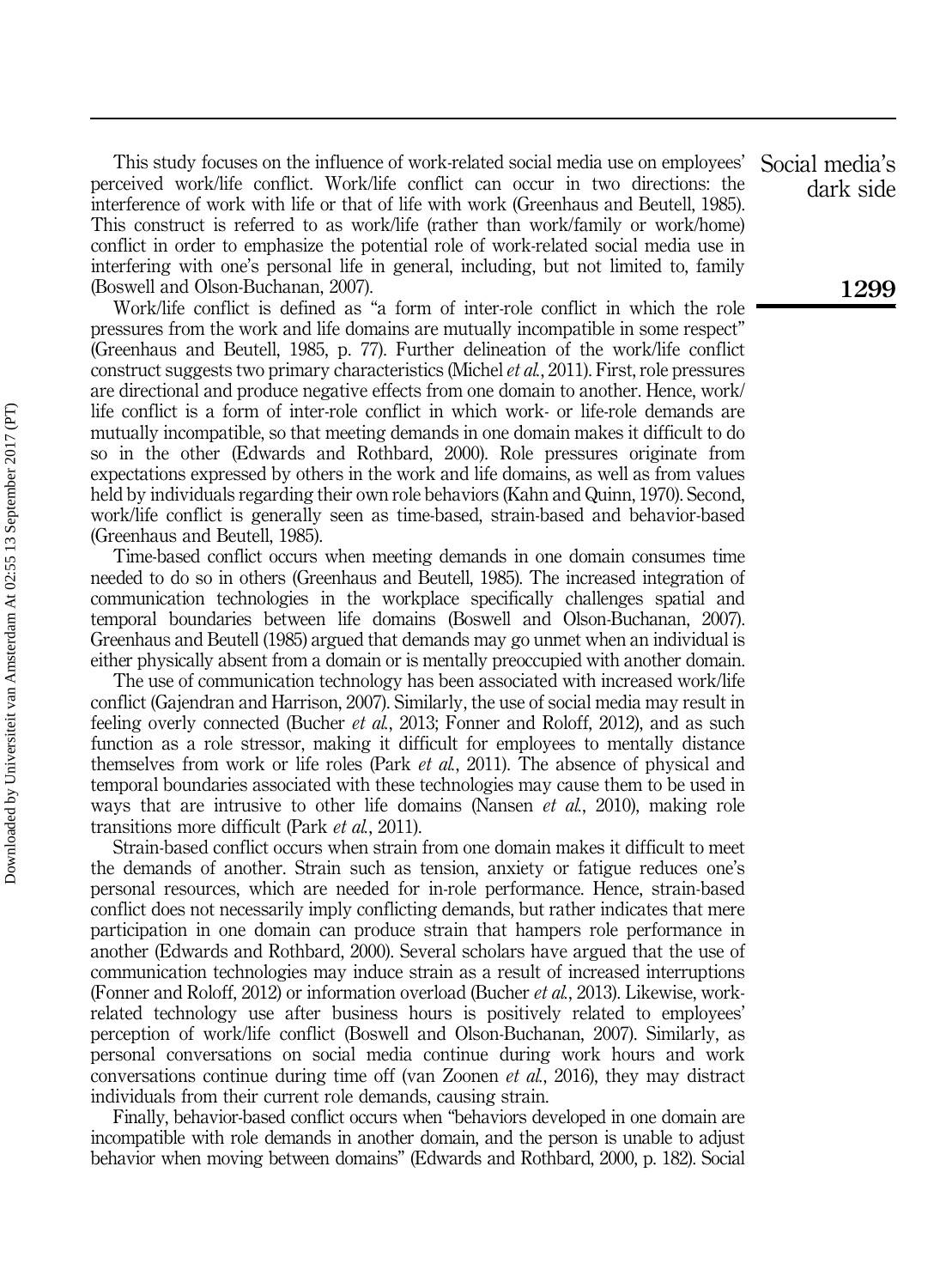This study focuses on the influence of work-related social media use on employees' perceived work/life conflict. Work/life conflict can occur in two directions: the interference of work with life or that of life with work (Greenhaus and Beutell, 1985). This construct is referred to as work/life (rather than work/family or work/home) conflict in order to emphasize the potential role of work-related social media use in interfering with one's personal life in general, including, but not limited to, family (Boswell and Olson-Buchanan, 2007).

Work/life conflict is defined as "a form of inter-role conflict in which the role pressures from the work and life domains are mutually incompatible in some respect" (Greenhaus and Beutell, 1985, p. 77). Further delineation of the work/life conflict construct suggests two primary characteristics (Michel et al., 2011). First, role pressures are directional and produce negative effects from one domain to another. Hence, work/ life conflict is a form of inter-role conflict in which work- or life-role demands are mutually incompatible, so that meeting demands in one domain makes it difficult to do so in the other (Edwards and Rothbard, 2000). Role pressures originate from expectations expressed by others in the work and life domains, as well as from values held by individuals regarding their own role behaviors (Kahn and Quinn, 1970). Second, work/life conflict is generally seen as time-based, strain-based and behavior-based (Greenhaus and Beutell, 1985).

Time-based conflict occurs when meeting demands in one domain consumes time needed to do so in others (Greenhaus and Beutell, 1985). The increased integration of communication technologies in the workplace specifically challenges spatial and temporal boundaries between life domains (Boswell and Olson-Buchanan, 2007). Greenhaus and Beutell (1985) argued that demands may go unmet when an individual is either physically absent from a domain or is mentally preoccupied with another domain.

The use of communication technology has been associated with increased work/life conflict (Gajendran and Harrison, 2007). Similarly, the use of social media may result in feeling overly connected (Bucher *et al.*, 2013; Fonner and Roloff, 2012), and as such function as a role stressor, making it difficult for employees to mentally distance themselves from work or life roles (Park et al., 2011). The absence of physical and temporal boundaries associated with these technologies may cause them to be used in ways that are intrusive to other life domains (Nansen *et al.*, 2010), making role transitions more difficult (Park et al., 2011).

Strain-based conflict occurs when strain from one domain makes it difficult to meet the demands of another. Strain such as tension, anxiety or fatigue reduces one's personal resources, which are needed for in-role performance. Hence, strain-based conflict does not necessarily imply conflicting demands, but rather indicates that mere participation in one domain can produce strain that hampers role performance in another (Edwards and Rothbard, 2000). Several scholars have argued that the use of communication technologies may induce strain as a result of increased interruptions (Fonner and Roloff, 2012) or information overload (Bucher et al., 2013). Likewise, workrelated technology use after business hours is positively related to employees' perception of work/life conflict (Boswell and Olson-Buchanan, 2007). Similarly, as personal conversations on social media continue during work hours and work conversations continue during time off (van Zoonen et al., 2016), they may distract individuals from their current role demands, causing strain.

Finally, behavior-based conflict occurs when "behaviors developed in one domain are incompatible with role demands in another domain, and the person is unable to adjust behavior when moving between domains" (Edwards and Rothbard, 2000, p. 182). Social

Social media's dark side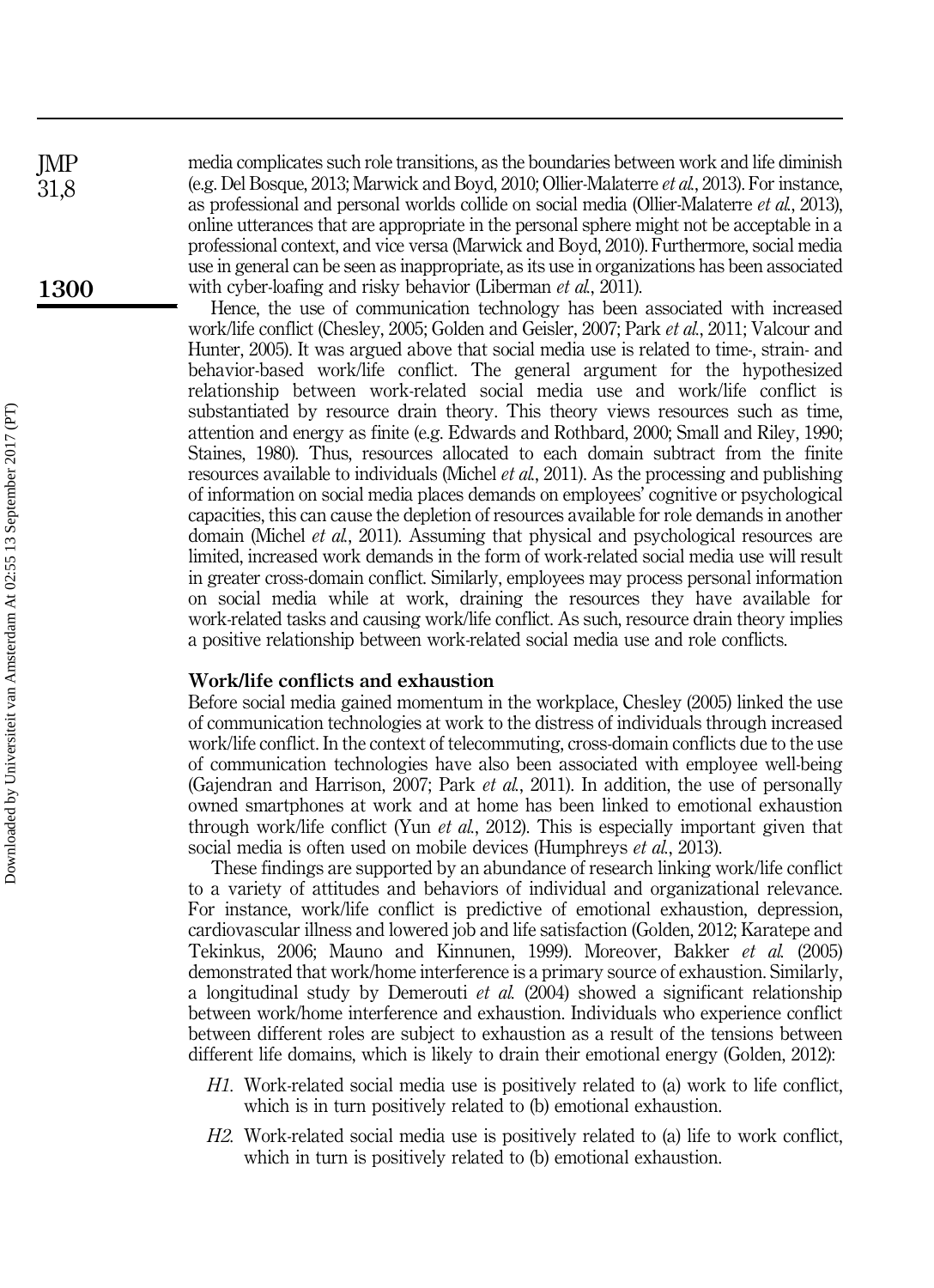media complicates such role transitions, as the boundaries between work and life diminish (e.g. Del Bosque, 2013; Marwick and Boyd, 2010; Ollier-Malaterre et al., 2013). For instance, as professional and personal worlds collide on social media (Ollier-Malaterre et al., 2013), online utterances that are appropriate in the personal sphere might not be acceptable in a professional context, and vice versa (Marwick and Boyd, 2010). Furthermore, social media use in general can be seen as inappropriate, as its use in organizations has been associated with cyber-loafing and risky behavior (Liberman *et al.*, 2011).

Hence, the use of communication technology has been associated with increased work/life conflict (Chesley, 2005; Golden and Geisler, 2007; Park et al., 2011; Valcour and Hunter, 2005). It was argued above that social media use is related to time-, strain- and behavior-based work/life conflict. The general argument for the hypothesized relationship between work-related social media use and work/life conflict is substantiated by resource drain theory. This theory views resources such as time, attention and energy as finite (e.g. Edwards and Rothbard, 2000; Small and Riley, 1990; Staines, 1980). Thus, resources allocated to each domain subtract from the finite resources available to individuals (Michel et al., 2011). As the processing and publishing of information on social media places demands on employees' cognitive or psychological capacities, this can cause the depletion of resources available for role demands in another domain (Michel et al., 2011). Assuming that physical and psychological resources are limited, increased work demands in the form of work-related social media use will result in greater cross-domain conflict. Similarly, employees may process personal information on social media while at work, draining the resources they have available for work-related tasks and causing work/life conflict. As such, resource drain theory implies a positive relationship between work-related social media use and role conflicts.

#### Work/life conflicts and exhaustion

Before social media gained momentum in the workplace, Chesley (2005) linked the use of communication technologies at work to the distress of individuals through increased work/life conflict. In the context of telecommuting, cross-domain conflicts due to the use of communication technologies have also been associated with employee well-being (Gajendran and Harrison, 2007; Park et al., 2011). In addition, the use of personally owned smartphones at work and at home has been linked to emotional exhaustion through work/life conflict (Yun *et al.*, 2012). This is especially important given that social media is often used on mobile devices (Humphreys *et al.*, 2013).

These findings are supported by an abundance of research linking work/life conflict to a variety of attitudes and behaviors of individual and organizational relevance. For instance, work/life conflict is predictive of emotional exhaustion, depression, cardiovascular illness and lowered job and life satisfaction (Golden, 2012; Karatepe and Tekinkus, 2006; Mauno and Kinnunen, 1999). Moreover, Bakker et al. (2005) demonstrated that work/home interference is a primary source of exhaustion. Similarly, a longitudinal study by Demerouti et al. (2004) showed a significant relationship between work/home interference and exhaustion. Individuals who experience conflict between different roles are subject to exhaustion as a result of the tensions between different life domains, which is likely to drain their emotional energy (Golden, 2012):

- H1. Work-related social media use is positively related to (a) work to life conflict, which is in turn positively related to (b) emotional exhaustion.
- H2. Work-related social media use is positively related to (a) life to work conflict, which in turn is positively related to (b) emotional exhaustion.

JMP 31,8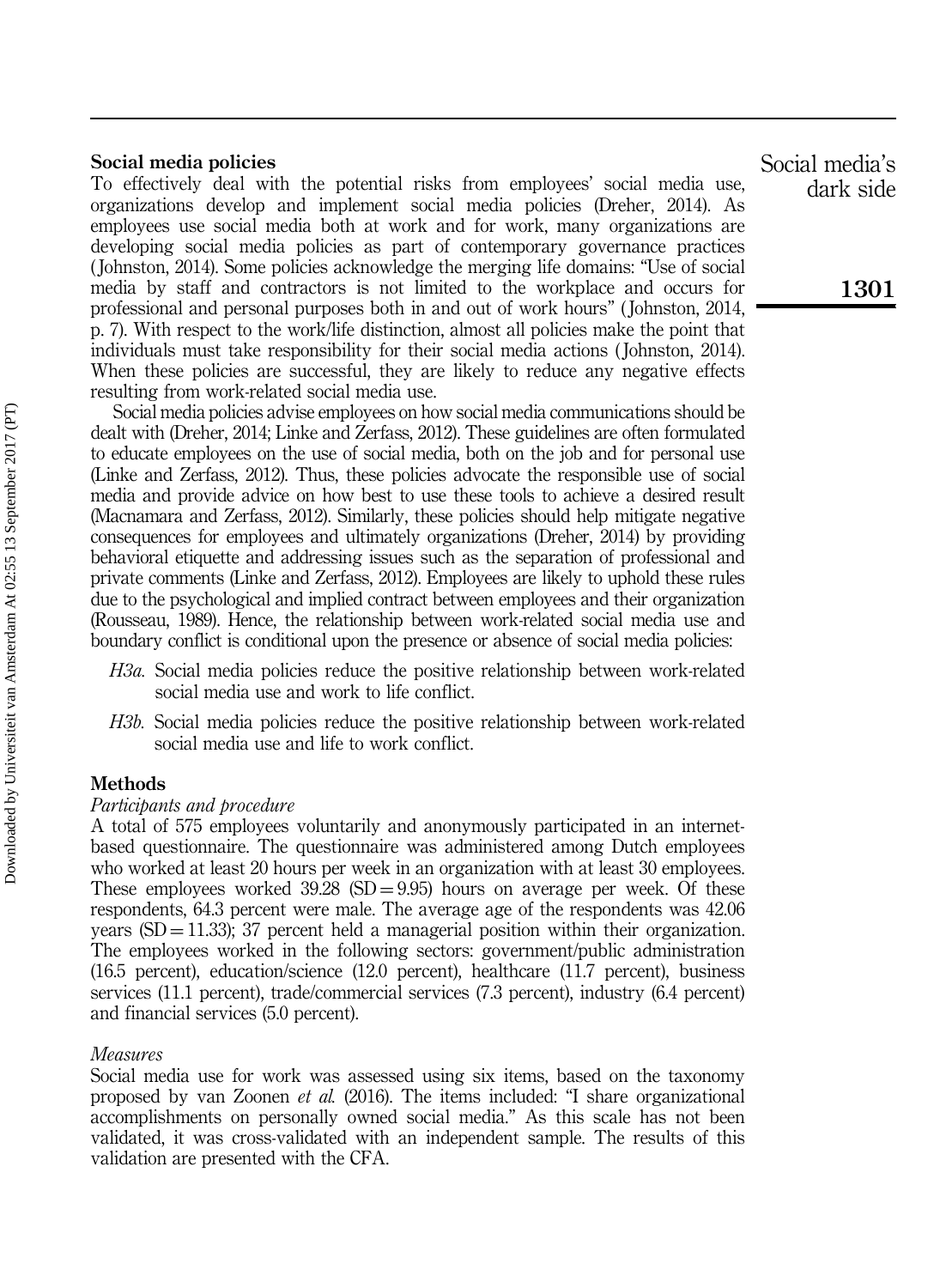#### Social media policies

To effectively deal with the potential risks from employees' social media use, organizations develop and implement social media policies (Dreher, 2014). As employees use social media both at work and for work, many organizations are developing social media policies as part of contemporary governance practices ( Johnston, 2014). Some policies acknowledge the merging life domains: "Use of social media by staff and contractors is not limited to the workplace and occurs for professional and personal purposes both in and out of work hours" ( Johnston, 2014, p. 7). With respect to the work/life distinction, almost all policies make the point that individuals must take responsibility for their social media actions ( Johnston, 2014). When these policies are successful, they are likely to reduce any negative effects resulting from work-related social media use.

Social media policies advise employees on how social media communications should be dealt with (Dreher, 2014; Linke and Zerfass, 2012). These guidelines are often formulated to educate employees on the use of social media, both on the job and for personal use (Linke and Zerfass, 2012). Thus, these policies advocate the responsible use of social media and provide advice on how best to use these tools to achieve a desired result (Macnamara and Zerfass, 2012). Similarly, these policies should help mitigate negative consequences for employees and ultimately organizations (Dreher, 2014) by providing behavioral etiquette and addressing issues such as the separation of professional and private comments (Linke and Zerfass, 2012). Employees are likely to uphold these rules due to the psychological and implied contract between employees and their organization (Rousseau, 1989). Hence, the relationship between work-related social media use and boundary conflict is conditional upon the presence or absence of social media policies:

- H3a. Social media policies reduce the positive relationship between work-related social media use and work to life conflict.
- H3b. Social media policies reduce the positive relationship between work-related social media use and life to work conflict.

#### Methods

#### Participants and procedure

A total of 575 employees voluntarily and anonymously participated in an internetbased questionnaire. The questionnaire was administered among Dutch employees who worked at least 20 hours per week in an organization with at least 30 employees. These employees worked  $39.28$  (SD = 9.95) hours on average per week. Of these respondents, 64.3 percent were male. The average age of the respondents was 42.06 years  $(SD = 11.33)$ ; 37 percent held a managerial position within their organization. The employees worked in the following sectors: government/public administration (16.5 percent), education/science (12.0 percent), healthcare (11.7 percent), business services (11.1 percent), trade/commercial services (7.3 percent), industry (6.4 percent) and financial services (5.0 percent).

#### Measures

Social media use for work was assessed using six items, based on the taxonomy proposed by van Zoonen et al. (2016). The items included: "I share organizational accomplishments on personally owned social media." As this scale has not been validated, it was cross-validated with an independent sample. The results of this validation are presented with the CFA.

Social media's dark side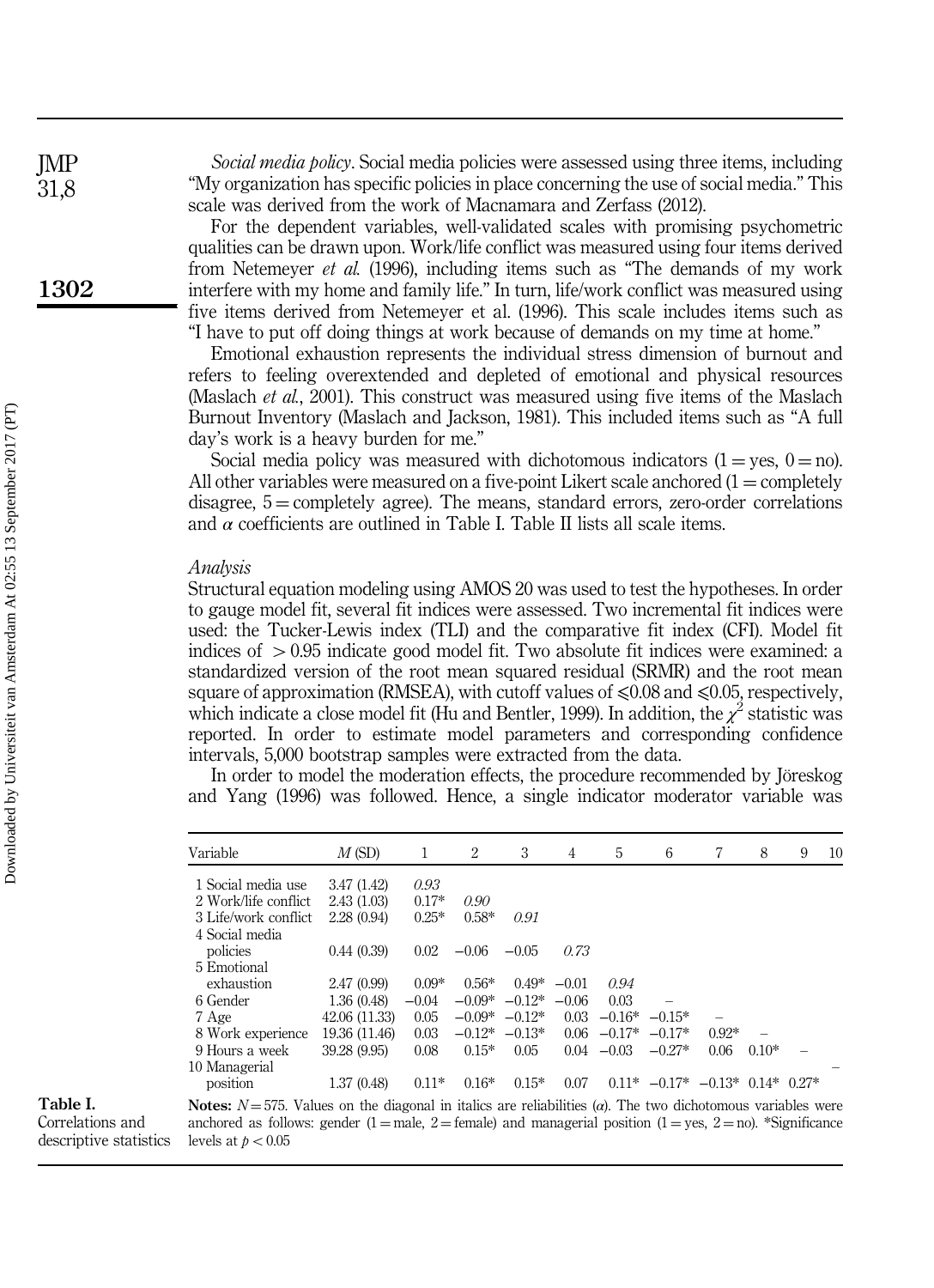Social media policy. Social media policies were assessed using three items, including "My organization has specific policies in place concerning the use of social media." This scale was derived from the work of Macnamara and Zerfass (2012).

For the dependent variables, well-validated scales with promising psychometric qualities can be drawn upon. Work/life conflict was measured using four items derived from Netemeyer et al. (1996), including items such as "The demands of my work interfere with my home and family life." In turn, life/work conflict was measured using five items derived from Netemeyer et al. (1996). This scale includes items such as "I have to put off doing things at work because of demands on my time at home."

Emotional exhaustion represents the individual stress dimension of burnout and refers to feeling overextended and depleted of emotional and physical resources (Maslach et al., 2001). This construct was measured using five items of the Maslach Burnout Inventory (Maslach and Jackson, 1981). This included items such as "A full day's work is a heavy burden for me."

Social media policy was measured with dichotomous indicators  $(1 = \text{yes}, 0 = \text{no})$ . All other variables were measured on a five-point Likert scale anchored  $(1 = \text{completely})$ disagree,  $5 =$  completely agree). The means, standard errors, zero-order correlations and  $\alpha$  coefficients are outlined in Table I. Table II lists all scale items.

#### Analysis

Structural equation modeling using AMOS 20 was used to test the hypotheses. In order to gauge model fit, several fit indices were assessed. Two incremental fit indices were used: the Tucker-Lewis index (TLI) and the comparative fit index (CFI). Model fit indices of  $> 0.95$  indicate good model fit. Two absolute fit indices were examined: a standardized version of the root mean squared residual (SRMR) and the root mean square of approximation (RMSEA), with cutoff values of  $\leq 0.08$  and  $\leq 0.05$ , respectively, which indicate a close model fit (Hu and Bentler, 1999). In addition, the  $\chi^2$  statistic was reported. In order to estimate model parameters and corresponding confidence intervals, 5,000 bootstrap samples were extracted from the data.

In order to model the moderation effects, the procedure recommended by Jöreskog and Yang (1996) was followed. Hence, a single indicator moderator variable was

| $0.11^*$ -0.17* -0.13* 0.14* 0.27* |
|------------------------------------|
|                                    |

Table I.

Correlations and descriptive statistics

Notes:  $N = 575$ . Values on the diagonal in italics are reliabilities ( $\alpha$ ). The two dichotomous variables were anchored as follows: gender (1 = male, 2 = female) and managerial position (1 = yes, 2 = no). \*Significance levels at  $p < 0.05$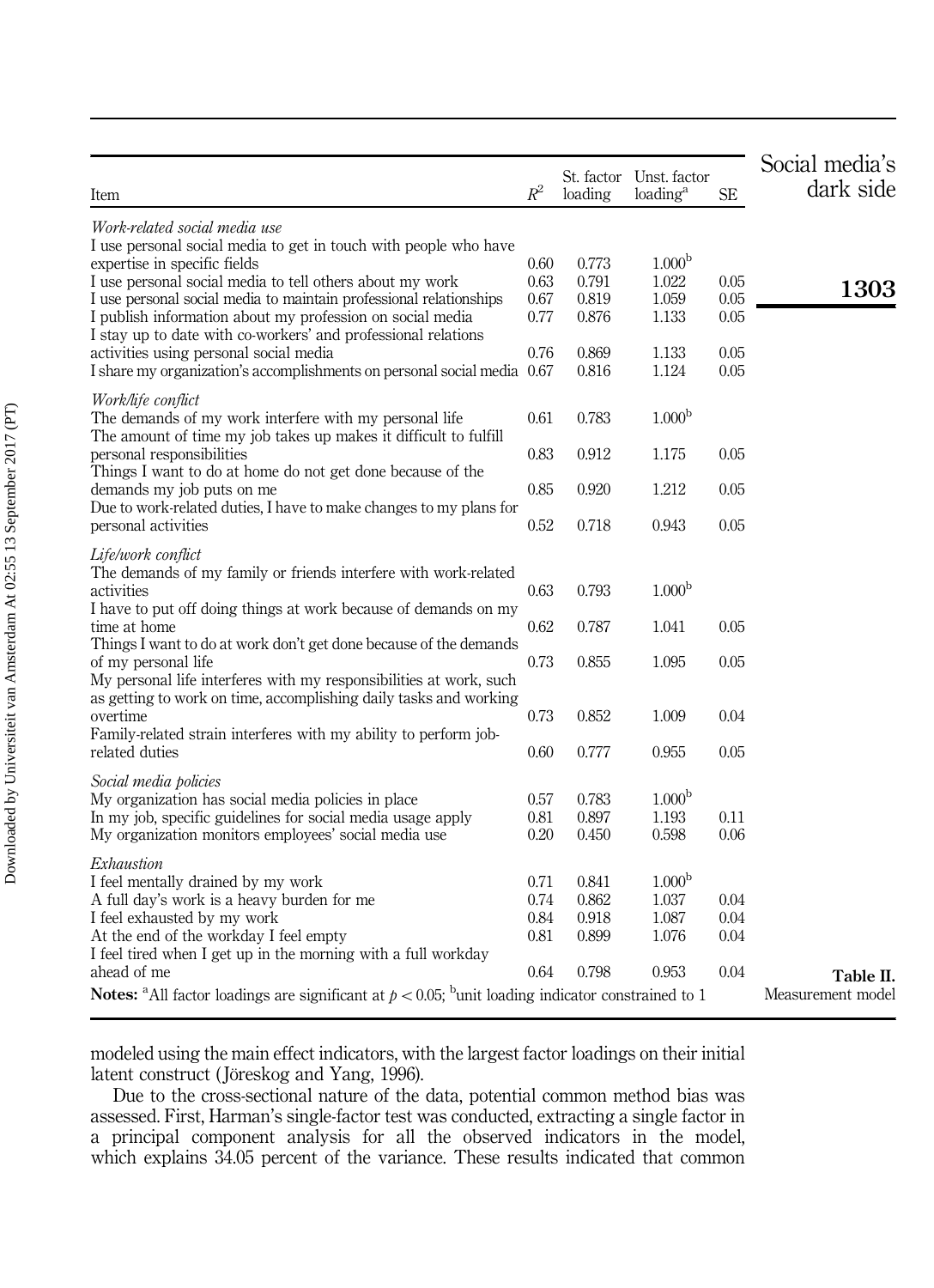| Item                                                                                                                                | $R^2$        | St. factor<br>loading | Unst. factor<br>loading <sup>a</sup> | <b>SE</b>    | Social media's<br>dark side |
|-------------------------------------------------------------------------------------------------------------------------------------|--------------|-----------------------|--------------------------------------|--------------|-----------------------------|
|                                                                                                                                     |              |                       |                                      |              |                             |
| Work-related social media use                                                                                                       |              |                       |                                      |              |                             |
| I use personal social media to get in touch with people who have                                                                    |              |                       |                                      |              |                             |
| expertise in specific fields                                                                                                        | 0.60<br>0.63 | 0.773<br>0.791        | 1.000 <sup>b</sup><br>1.022          | 0.05         |                             |
| I use personal social media to tell others about my work<br>I use personal social media to maintain professional relationships      | 0.67         | 0.819                 | 1.059                                | 0.05         | 1303                        |
| I publish information about my profession on social media                                                                           | 0.77         | 0.876                 | 1.133                                | 0.05         |                             |
| I stay up to date with co-workers' and professional relations                                                                       |              |                       |                                      |              |                             |
| activities using personal social media                                                                                              | 0.76         | 0.869                 | 1.133                                | 0.05         |                             |
| I share my organization's accomplishments on personal social media 0.67                                                             |              | 0.816                 | 1.124                                | 0.05         |                             |
|                                                                                                                                     |              |                       |                                      |              |                             |
| Work/life conflict<br>The demands of my work interfere with my personal life                                                        | 0.61         | 0.783                 | 1.000 <sup>b</sup>                   |              |                             |
| The amount of time my job takes up makes it difficult to fulfill                                                                    |              |                       |                                      |              |                             |
| personal responsibilities                                                                                                           | 0.83         | 0.912                 | 1.175                                | 0.05         |                             |
| Things I want to do at home do not get done because of the                                                                          |              |                       |                                      |              |                             |
| demands my job puts on me                                                                                                           | 0.85         | 0.920                 | 1.212                                | 0.05         |                             |
| Due to work-related duties, I have to make changes to my plans for                                                                  |              |                       |                                      |              |                             |
| personal activities                                                                                                                 | 0.52         | 0.718                 | 0.943                                | 0.05         |                             |
| Life/work conflict                                                                                                                  |              |                       |                                      |              |                             |
| The demands of my family or friends interfere with work-related                                                                     |              |                       |                                      |              |                             |
| activities                                                                                                                          | 0.63         | 0.793                 | 1.000 <sup>b</sup>                   |              |                             |
| I have to put off doing things at work because of demands on my                                                                     |              |                       |                                      |              |                             |
| time at home                                                                                                                        | 0.62         | 0.787                 | 1.041                                | 0.05         |                             |
| Things I want to do at work don't get done because of the demands                                                                   |              |                       |                                      |              |                             |
| of my personal life                                                                                                                 | 0.73         | 0.855                 | 1.095                                | 0.05         |                             |
| My personal life interferes with my responsibilities at work, such                                                                  |              |                       |                                      |              |                             |
| as getting to work on time, accomplishing daily tasks and working                                                                   | 0.73         |                       | 1.009                                | 0.04         |                             |
| overtime<br>Family-related strain interferes with my ability to perform job-                                                        |              | 0.852                 |                                      |              |                             |
| related duties                                                                                                                      | 0.60         | 0.777                 | 0.955                                | 0.05         |                             |
|                                                                                                                                     |              |                       |                                      |              |                             |
| Social media policies                                                                                                               |              |                       |                                      |              |                             |
| My organization has social media policies in place                                                                                  | 0.57         | 0.783                 | 1.000 <sup>b</sup>                   |              |                             |
| In my job, specific guidelines for social media usage apply                                                                         | 0.81<br>0.20 | 0.897                 | 1.193<br>0.598                       | 0.11<br>0.06 |                             |
| My organization monitors employees' social media use                                                                                |              | 0.450                 |                                      |              |                             |
| Exhaustion                                                                                                                          |              |                       |                                      |              |                             |
| I feel mentally drained by my work                                                                                                  | 0.71         | 0.841                 | 1.000 <sup>b</sup>                   |              |                             |
| A full day's work is a heavy burden for me                                                                                          | 0.74         | 0.862                 | 1.037                                | 0.04         |                             |
| I feel exhausted by my work                                                                                                         | 0.84         | 0.918                 | 1.087                                | 0.04         |                             |
| At the end of the workday I feel empty                                                                                              | 0.81         | 0.899                 | 1.076                                | 0.04         |                             |
| I feel tired when I get up in the morning with a full workday<br>ahead of me                                                        | 0.64         | 0.798                 | 0.953                                | 0.04         |                             |
|                                                                                                                                     |              |                       |                                      |              | Table II.                   |
| <b>Notes:</b> <sup>a</sup> All factor loadings are significant at $p < 0.05$ ; <sup>b</sup> unit loading indicator constrained to 1 |              |                       |                                      |              | Measurement model           |

modeled using the main effect indicators, with the largest factor loadings on their initial latent construct (Jöreskog and Yang, 1996).

Due to the cross-sectional nature of the data, potential common method bias was assessed. First, Harman's single-factor test was conducted, extracting a single factor in a principal component analysis for all the observed indicators in the model, which explains 34.05 percent of the variance. These results indicated that common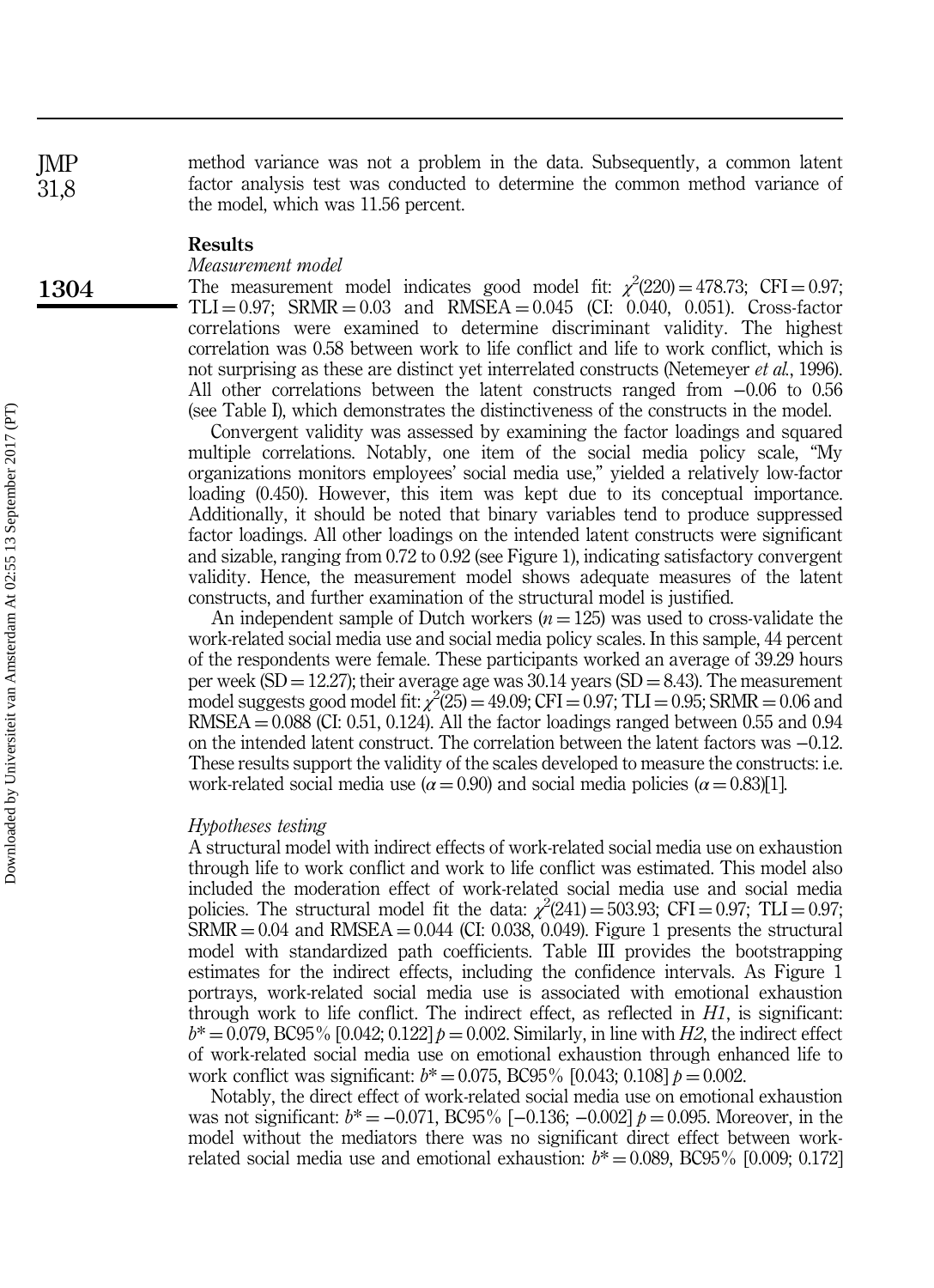method variance was not a problem in the data. Subsequently, a common latent factor analysis test was conducted to determine the common method variance of the model, which was 11.56 percent.

#### Results

#### Measurement model

The measurement model indicates good model fit:  $\chi^2(220) = 478.73$ ; CFI = 0.97;  $TLI = 0.97$ ;  $SRMR = 0.03$  and  $RMSEA = 0.045$  (CI: 0.040, 0.051). Cross-factor correlations were examined to determine discriminant validity. The highest correlation was 0.58 between work to life conflict and life to work conflict, which is not surprising as these are distinct yet interrelated constructs (Netemeyer *et al.*, 1996). All other correlations between the latent constructs ranged from −0.06 to 0.56 (see Table I), which demonstrates the distinctiveness of the constructs in the model.

Convergent validity was assessed by examining the factor loadings and squared multiple correlations. Notably, one item of the social media policy scale, "My organizations monitors employees' social media use," yielded a relatively low-factor loading (0.450). However, this item was kept due to its conceptual importance. Additionally, it should be noted that binary variables tend to produce suppressed factor loadings. All other loadings on the intended latent constructs were significant and sizable, ranging from 0.72 to 0.92 (see Figure 1), indicating satisfactory convergent validity. Hence, the measurement model shows adequate measures of the latent constructs, and further examination of the structural model is justified.

An independent sample of Dutch workers  $(n = 125)$  was used to cross-validate the work-related social media use and social media policy scales. In this sample, 44 percent of the respondents were female. These participants worked an average of 39.29 hours per week (SD = 12.27); their average age was  $30.14$  years (SD = 8.43). The measurement model suggests good model fit:  $\chi^2(25) = 49.09$ ; CFI = 0.97; TLI = 0.95; SRMR = 0.06 and  $RMSEA = 0.088$  (CI: 0.51, 0.124). All the factor loadings ranged between 0.55 and 0.94 on the intended latent construct. The correlation between the latent factors was −0.12. These results support the validity of the scales developed to measure the constructs: i.e. work-related social media use ( $\alpha$  = 0.90) and social media policies ( $\alpha$  = 0.83)[1].

#### Hypotheses testing

A structural model with indirect effects of work-related social media use on exhaustion through life to work conflict and work to life conflict was estimated. This model also included the moderation effect of work-related social media use and social media policies. The structural model fit the data:  $\chi^2(241) = 503.93$ ; CFI = 0.97; TLI = 0.97;  $SRMR = 0.04$  and  $RMSEA = 0.044$  (CI: 0.038, 0.049). Figure 1 presents the structural model with standardized path coefficients. Table III provides the bootstrapping estimates for the indirect effects, including the confidence intervals. As Figure 1 portrays, work-related social media use is associated with emotional exhaustion through work to life conflict. The indirect effect, as reflected in  $H1$ , is significant:  $b^* = 0.079$ , BC95% [0.042; 0.122]  $p = 0.002$ . Similarly, in line with H2, the indirect effect of work-related social media use on emotional exhaustion through enhanced life to work conflict was significant:  $b^* = 0.075$ , BC95% [0.043; 0.108]  $p = 0.002$ .

Notably, the direct effect of work-related social media use on emotional exhaustion was not significant:  $b^* = -0.071$ , BC95% [-0.136; -0.002]  $p = 0.095$ . Moreover, in the model without the mediators there was no significant direct effect between workrelated social media use and emotional exhaustion:  $b^* = 0.089$ , BC95% [0.009; 0.172]

JMP 31,8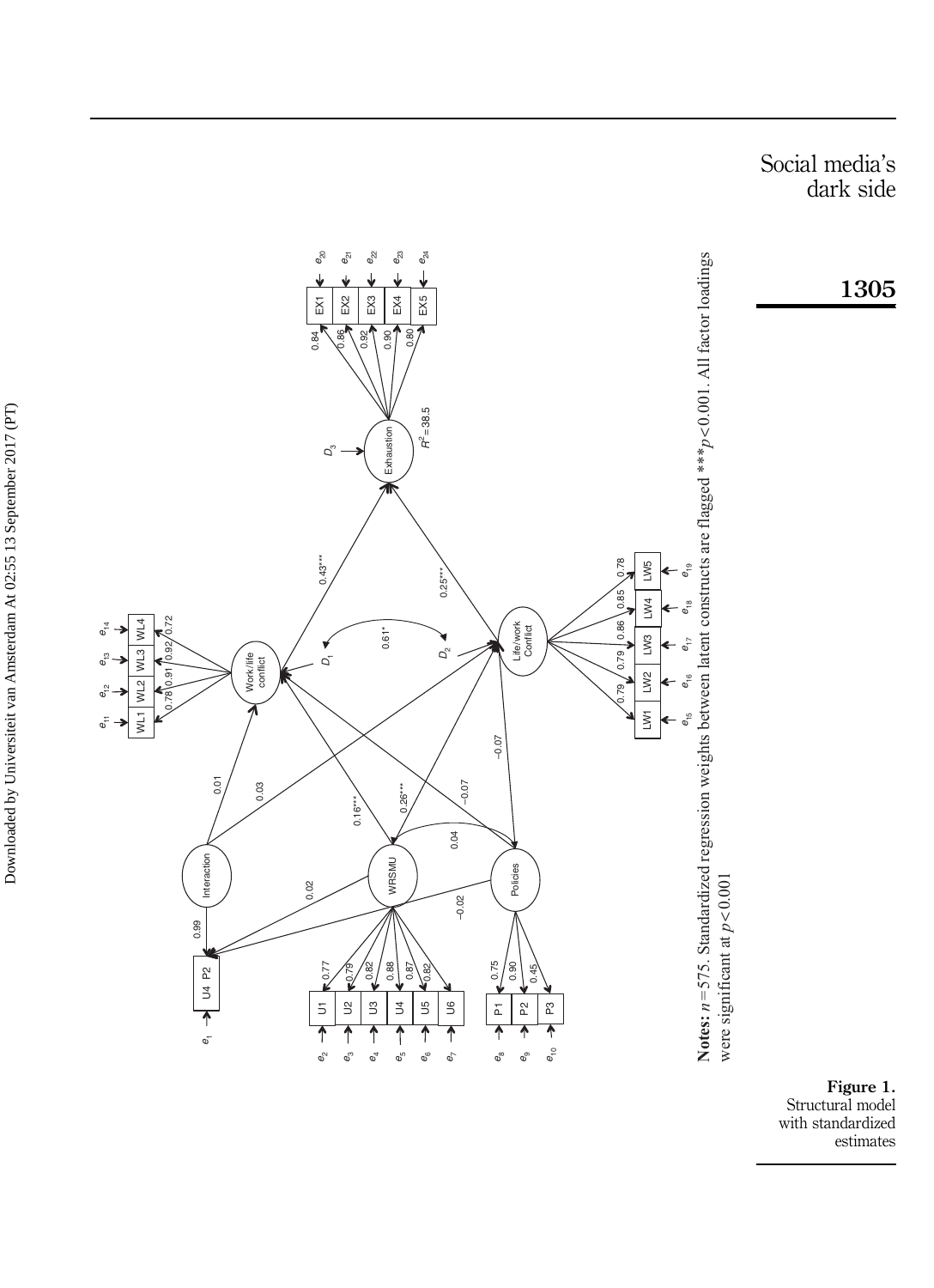Social media s ' dark side





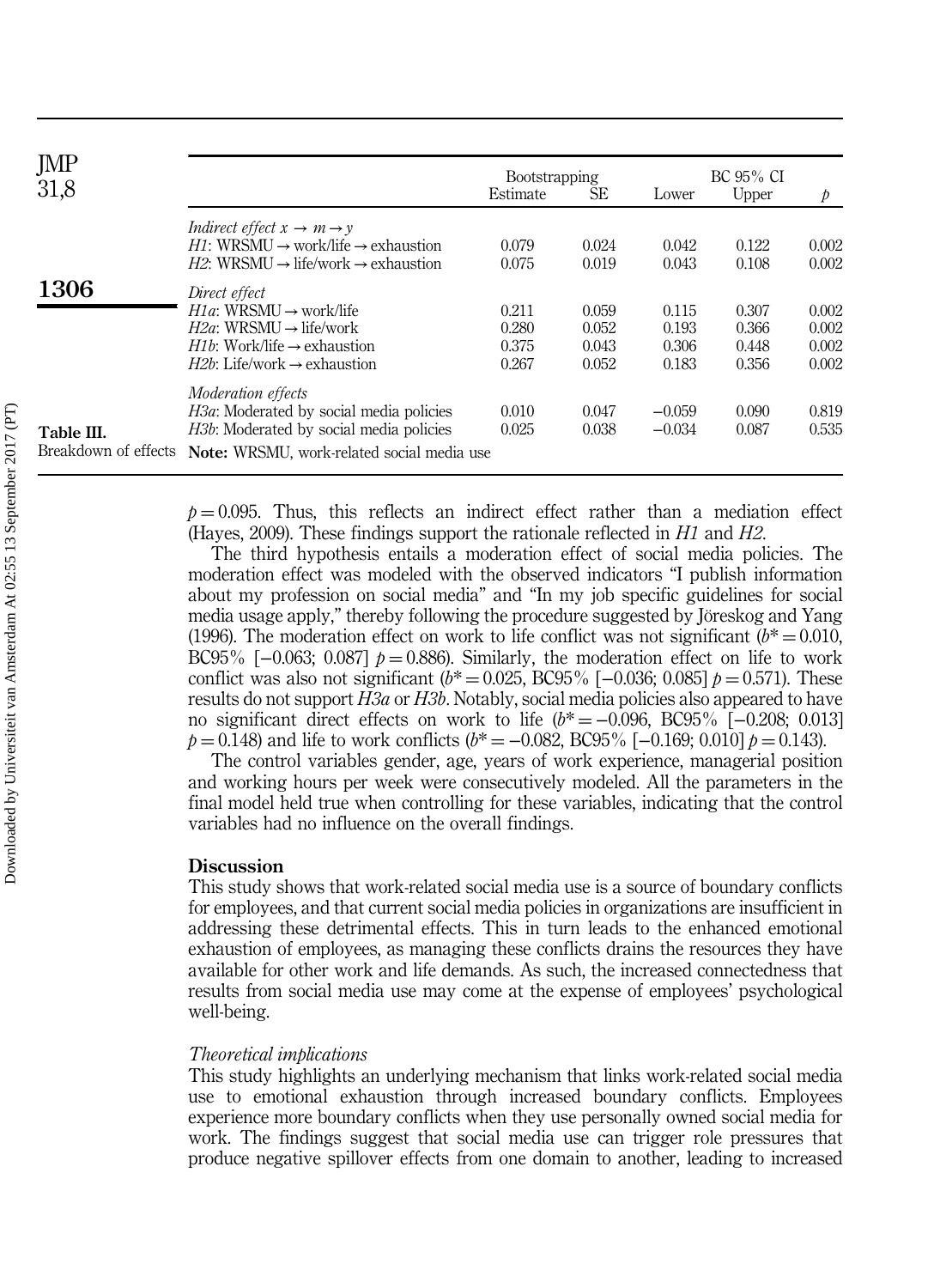| JMP<br>31,8                        |                                                                                                                                                                                                             | <b>Bootstrapping</b><br>Estimate | SE                               | Lower                            | BC 95% CI<br>Upper               | $\mathcal{P}$                    |
|------------------------------------|-------------------------------------------------------------------------------------------------------------------------------------------------------------------------------------------------------------|----------------------------------|----------------------------------|----------------------------------|----------------------------------|----------------------------------|
|                                    | Indirect effect $x \to m \to v$<br>$H1: WRSMI \rightarrow work/life \rightarrow exhaustion$<br>$H2$ : WRSMU $\rightarrow$ life/work $\rightarrow$ exhaustion                                                | 0.079<br>0.075                   | 0.024<br>0.019                   | 0.042<br>0.043                   | 0.122<br>0.108                   | 0.002<br>0.002                   |
| 1306                               | Direct effect<br>$H1a$ : WRSMU $\rightarrow$ work/life<br>$H2a$ : WRSMU $\rightarrow$ life/work<br><i>H<sub>1</sub>b</i> : Work/life $\rightarrow$ exhaustion<br>$H2b$ : Life/work $\rightarrow$ exhaustion | 0.211<br>0.280<br>0.375<br>0.267 | 0.059<br>0.052<br>0.043<br>0.052 | 0.115<br>0.193<br>0.306<br>0.183 | 0.307<br>0.366<br>0.448<br>0.356 | 0.002<br>0.002<br>0.002<br>0.002 |
| Table III.<br>Breakdown of effects | <i>Moderation effects</i><br>H3a: Moderated by social media policies<br><i>H3b</i> : Moderated by social media policies<br>Note: WRSMU, work-related social media use                                       | 0.010<br>0.025                   | 0.047<br>0.038                   | $-0.059$<br>$-0.034$             | 0.090<br>0.087                   | 0.819<br>0.535                   |

 $p = 0.095$ . Thus, this reflects an indirect effect rather than a mediation effect (Hayes, 2009). These findings support the rationale reflected in H1 and H2.

The third hypothesis entails a moderation effect of social media policies. The moderation effect was modeled with the observed indicators "I publish information about my profession on social media" and "In my job specific guidelines for social media usage apply," thereby following the procedure suggested by Jöreskog and Yang (1996). The moderation effect on work to life conflict was not significant ( $b^* = 0.010$ , BC95% [−0.063; 0.087]  $p = 0.886$ ). Similarly, the moderation effect on life to work conflict was also not significant ( $b^* = 0.025$ , BC95% [-0.036; 0.085]  $p = 0.571$ ). These results do not support *H3a* or *H3b*. Notably, social media policies also appeared to have no significant direct effects on work to life  $(b^* = -0.096, BC95\%$  [-0.208; 0.013]  $p = 0.148$ ) and life to work conflicts ( $b^* = -0.082$ , BC95% [-0.169; 0.010]  $p = 0.143$ ).

The control variables gender, age, years of work experience, managerial position and working hours per week were consecutively modeled. All the parameters in the final model held true when controlling for these variables, indicating that the control variables had no influence on the overall findings.

#### **Discussion**

This study shows that work-related social media use is a source of boundary conflicts for employees, and that current social media policies in organizations are insufficient in addressing these detrimental effects. This in turn leads to the enhanced emotional exhaustion of employees, as managing these conflicts drains the resources they have available for other work and life demands. As such, the increased connectedness that results from social media use may come at the expense of employees' psychological well-being.

#### Theoretical implications

This study highlights an underlying mechanism that links work-related social media use to emotional exhaustion through increased boundary conflicts. Employees experience more boundary conflicts when they use personally owned social media for work. The findings suggest that social media use can trigger role pressures that produce negative spillover effects from one domain to another, leading to increased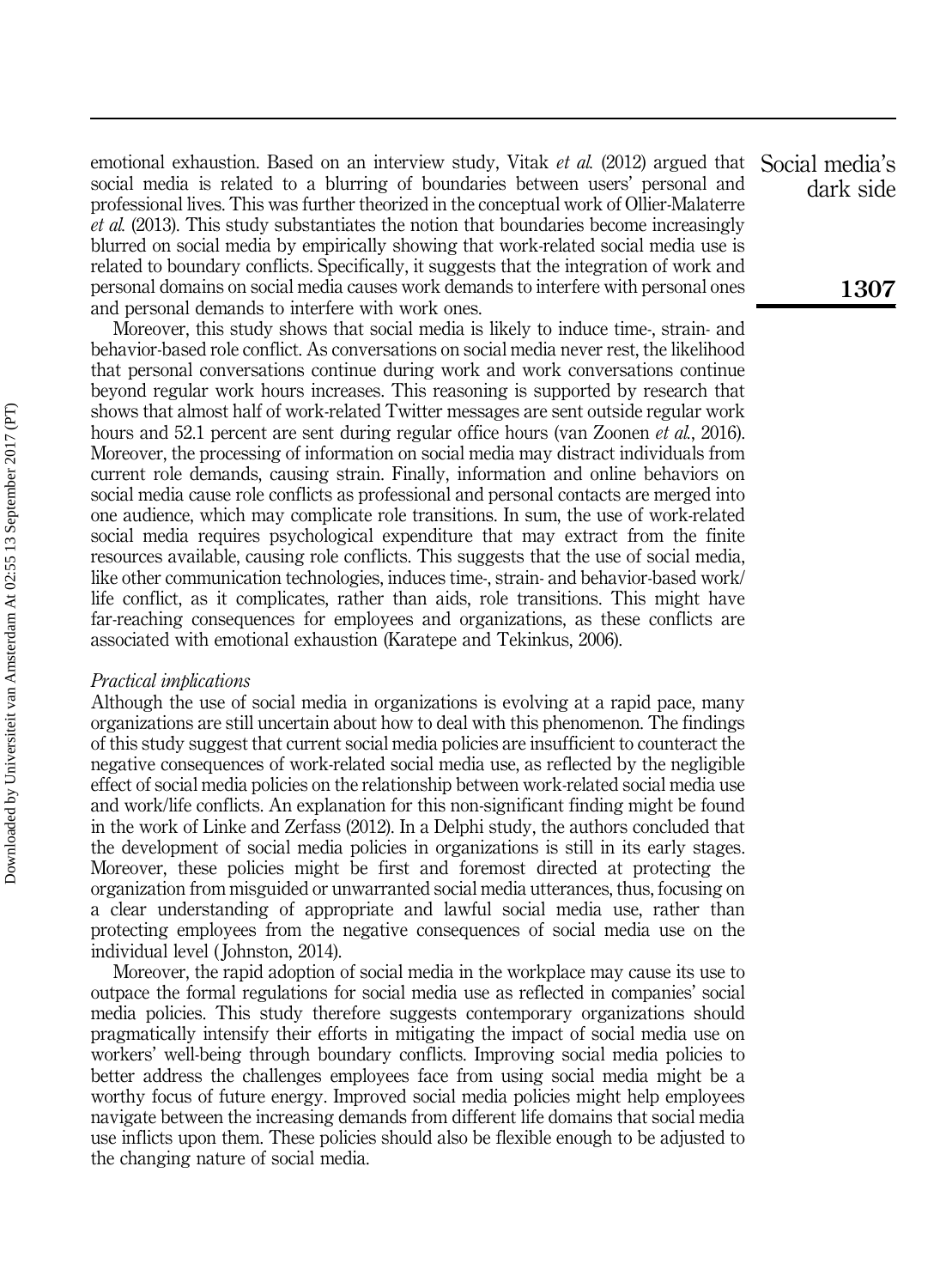emotional exhaustion. Based on an interview study, Vitak et al. (2012) argued that social media is related to a blurring of boundaries between users' personal and professional lives. This was further theorized in the conceptual work of Ollier-Malaterre et al. (2013). This study substantiates the notion that boundaries become increasingly blurred on social media by empirically showing that work-related social media use is related to boundary conflicts. Specifically, it suggests that the integration of work and personal domains on social media causes work demands to interfere with personal ones and personal demands to interfere with work ones.

Moreover, this study shows that social media is likely to induce time-, strain- and behavior-based role conflict. As conversations on social media never rest, the likelihood that personal conversations continue during work and work conversations continue beyond regular work hours increases. This reasoning is supported by research that shows that almost half of work-related Twitter messages are sent outside regular work hours and 52.1 percent are sent during regular office hours (van Zoonen *et al.*, 2016). Moreover, the processing of information on social media may distract individuals from current role demands, causing strain. Finally, information and online behaviors on social media cause role conflicts as professional and personal contacts are merged into one audience, which may complicate role transitions. In sum, the use of work-related social media requires psychological expenditure that may extract from the finite resources available, causing role conflicts. This suggests that the use of social media, like other communication technologies, induces time-, strain- and behavior-based work/ life conflict, as it complicates, rather than aids, role transitions. This might have far-reaching consequences for employees and organizations, as these conflicts are associated with emotional exhaustion (Karatepe and Tekinkus, 2006).

#### Practical implications

Although the use of social media in organizations is evolving at a rapid pace, many organizations are still uncertain about how to deal with this phenomenon. The findings of this study suggest that current social media policies are insufficient to counteract the negative consequences of work-related social media use, as reflected by the negligible effect of social media policies on the relationship between work-related social media use and work/life conflicts. An explanation for this non-significant finding might be found in the work of Linke and Zerfass (2012). In a Delphi study, the authors concluded that the development of social media policies in organizations is still in its early stages. Moreover, these policies might be first and foremost directed at protecting the organization from misguided or unwarranted social media utterances, thus, focusing on a clear understanding of appropriate and lawful social media use, rather than protecting employees from the negative consequences of social media use on the individual level ( Johnston, 2014).

Moreover, the rapid adoption of social media in the workplace may cause its use to outpace the formal regulations for social media use as reflected in companies' social media policies. This study therefore suggests contemporary organizations should pragmatically intensify their efforts in mitigating the impact of social media use on workers' well-being through boundary conflicts. Improving social media policies to better address the challenges employees face from using social media might be a worthy focus of future energy. Improved social media policies might help employees navigate between the increasing demands from different life domains that social media use inflicts upon them. These policies should also be flexible enough to be adjusted to the changing nature of social media.

Social media's dark side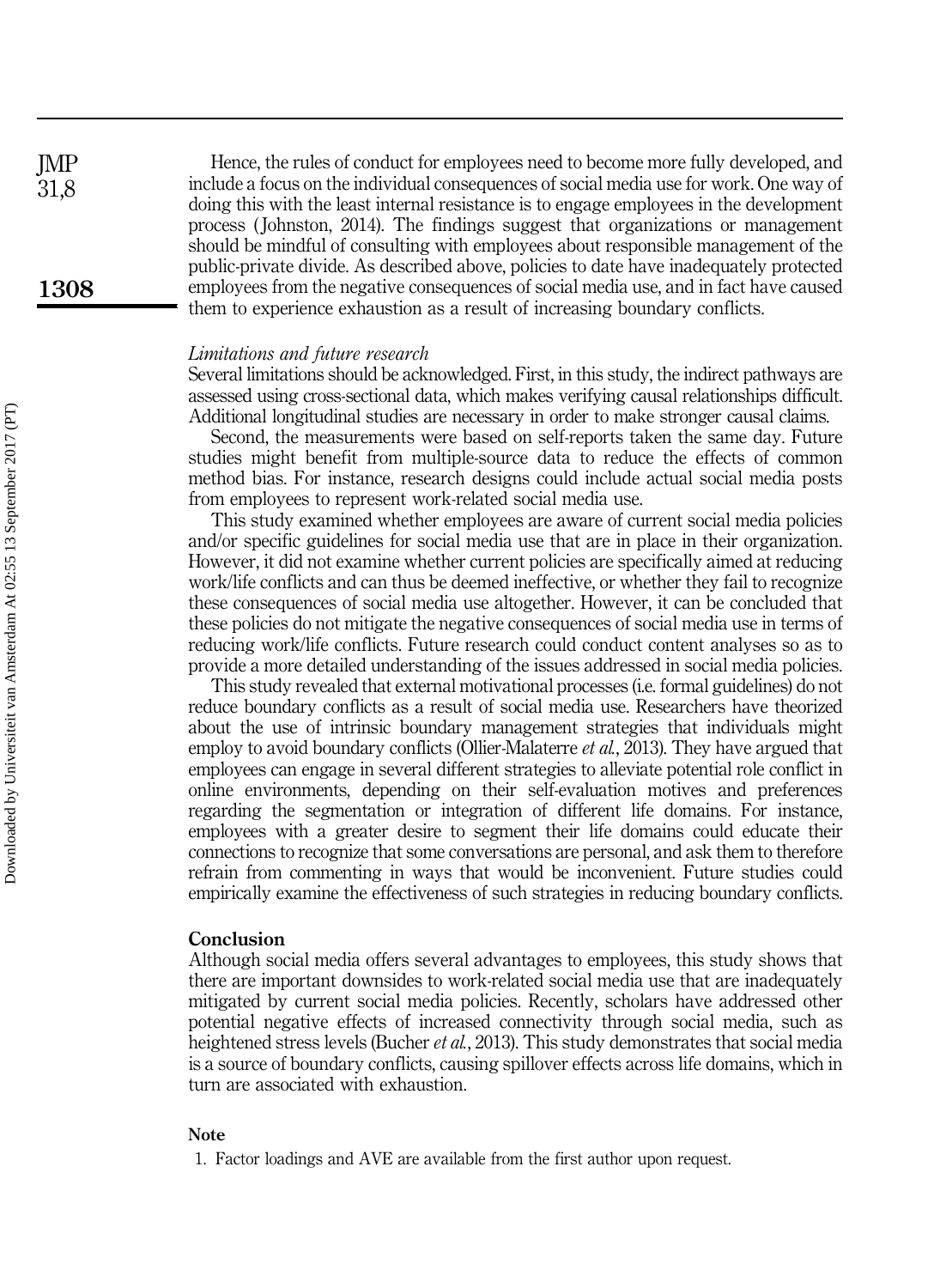Hence, the rules of conduct for employees need to become more fully developed, and include a focus on the individual consequences of social media use for work. One way of doing this with the least internal resistance is to engage employees in the development process ( Johnston, 2014). The findings suggest that organizations or management should be mindful of consulting with employees about responsible management of the public-private divide. As described above, policies to date have inadequately protected employees from the negative consequences of social media use, and in fact have caused them to experience exhaustion as a result of increasing boundary conflicts.

#### Limitations and future research

Several limitations should be acknowledged. First, in this study, the indirect pathways are assessed using cross-sectional data, which makes verifying causal relationships difficult. Additional longitudinal studies are necessary in order to make stronger causal claims.

Second, the measurements were based on self-reports taken the same day. Future studies might benefit from multiple-source data to reduce the effects of common method bias. For instance, research designs could include actual social media posts from employees to represent work-related social media use.

This study examined whether employees are aware of current social media policies and/or specific guidelines for social media use that are in place in their organization. However, it did not examine whether current policies are specifically aimed at reducing work/life conflicts and can thus be deemed ineffective, or whether they fail to recognize these consequences of social media use altogether. However, it can be concluded that these policies do not mitigate the negative consequences of social media use in terms of reducing work/life conflicts. Future research could conduct content analyses so as to provide a more detailed understanding of the issues addressed in social media policies.

This study revealed that external motivational processes (i.e. formal guidelines) do not reduce boundary conflicts as a result of social media use. Researchers have theorized about the use of intrinsic boundary management strategies that individuals might employ to avoid boundary conflicts (Ollier-Malaterre *et al.*, 2013). They have argued that employees can engage in several different strategies to alleviate potential role conflict in online environments, depending on their self-evaluation motives and preferences regarding the segmentation or integration of different life domains. For instance, employees with a greater desire to segment their life domains could educate their connections to recognize that some conversations are personal, and ask them to therefore refrain from commenting in ways that would be inconvenient. Future studies could empirically examine the effectiveness of such strategies in reducing boundary conflicts.

#### Conclusion

Although social media offers several advantages to employees, this study shows that there are important downsides to work-related social media use that are inadequately mitigated by current social media policies. Recently, scholars have addressed other potential negative effects of increased connectivity through social media, such as heightened stress levels (Bucher et al., 2013). This study demonstrates that social media is a source of boundary conflicts, causing spillover effects across life domains, which in turn are associated with exhaustion.

#### Note

JMP 31,8

<sup>1.</sup> Factor loadings and AVE are available from the first author upon request.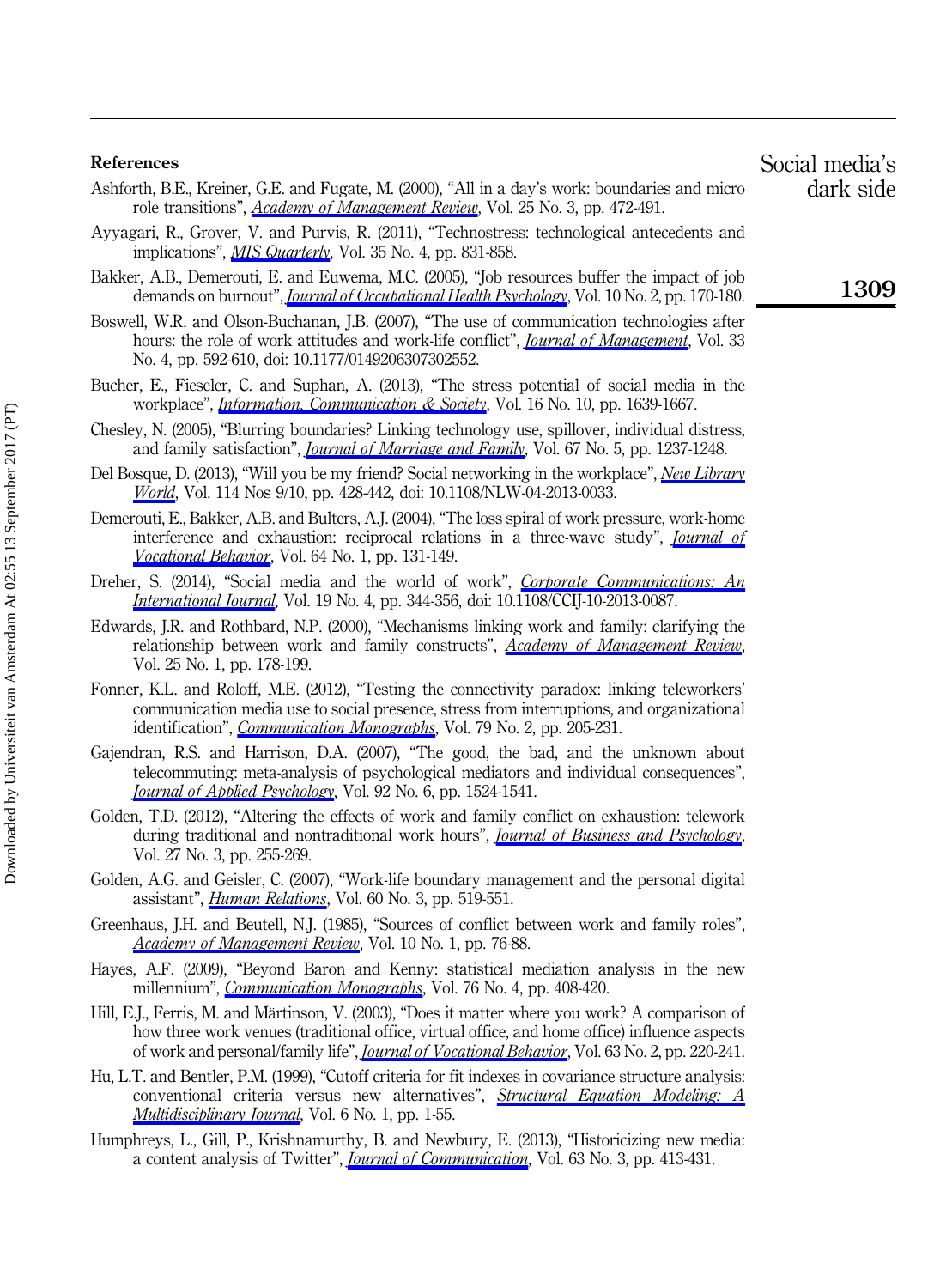#### References

- Ashforth, B.E., Kreiner, G.E. and Fugate, M. (2000), "All in a day's work: boundaries and micro role transitions", *[Academy of Management Review](http://www.emeraldinsight.com/action/showLinks?isi=000088180600002)*, Vol. 25 No. 3, pp. 472-491.
- Ayyagari, R., Grover, V. and Purvis, R. (2011), "Technostress: technological antecedents and implications", *[MIS Quarterly](http://www.emeraldinsight.com/action/showLinks?isi=000297236000003)*, Vol. 35 No. 4, pp. 831-858.
- Bakker, A.B., Demerouti, E. and Euwema, M.C. (2005), "Job resources buffer the impact of job demands on burnout", *[Journal of Occupational Health Psychology](http://www.emeraldinsight.com/action/showLinks?crossref=10.1037%2F1076-8998.10.2.170&isi=000241535700007)*, Vol. 10 No. 2, pp. 170-180.
- Boswell, W.R. and Olson-Buchanan, J.B. (2007), "The use of communication technologies after hours: the role of work attitudes and work-life conflict", *[Journal of Management](http://www.emeraldinsight.com/action/showLinks?crossref=10.1177%2F0149206307302552&isi=000248307800004)*, Vol. 33 No. 4, pp. 592-610, doi: 10.1177/0149206307302552.
- Bucher, E., Fieseler, C. and Suphan, A. (2013), "The stress potential of social media in the workplace", *[Information, Communication & Society](http://www.emeraldinsight.com/action/showLinks?crossref=10.1080%2F1369118X.2012.710245&isi=000325049200006)*, Vol. 16 No. 10, pp. 1639-1667.
- Chesley, N. (2005), "Blurring boundaries? Linking technology use, spillover, individual distress, and family satisfaction", *[Journal of Marriage and Family](http://www.emeraldinsight.com/action/showLinks?crossref=10.1111%2Fj.1741-3737.2005.00213.x&isi=000233999400012)*, Vol. 67 No. 5, pp. 1237-1248.
- Del Bosque, D. (2013), "Will you be my friend? Social networking in the workplace", [New Library](http://www.emeraldinsight.com/action/showLinks?system=10.1108%2FNLW-04-2013-0033) [World](http://www.emeraldinsight.com/action/showLinks?system=10.1108%2FNLW-04-2013-0033), Vol. 114 Nos 9/10, pp. 428-442, doi: 10.1108/NLW-04-2013-0033.
- Demerouti, E., Bakker, A.B. and Bulters, A.J. (2004), "The loss spiral of work pressure, work-home interference and exhaustion: reciprocal relations in a three-wave study", *[Journal of](http://www.emeraldinsight.com/action/showLinks?crossref=10.1016%2FS0001-8791%2803%2900030-7&isi=000187564400007)* [Vocational Behavior](http://www.emeraldinsight.com/action/showLinks?crossref=10.1016%2FS0001-8791%2803%2900030-7&isi=000187564400007), Vol. 64 No. 1, pp. 131-149.
- Dreher, S. (2014), "Social media and the world of work", [Corporate Communications: An](http://www.emeraldinsight.com/action/showLinks?system=10.1108%2FCCIJ-10-2013-0087) [International Journal](http://www.emeraldinsight.com/action/showLinks?system=10.1108%2FCCIJ-10-2013-0087), Vol. 19 No. 4, pp. 344-356, doi: 10.1108/CCIJ-10-2013-0087.
- Edwards, J.R. and Rothbard, N.P. (2000), "Mechanisms linking work and family: clarifying the relationship between work and family constructs", [Academy of Management Review](http://www.emeraldinsight.com/action/showLinks?isi=000084801600017), Vol. 25 No. 1, pp. 178-199.
- Fonner, K.L. and Roloff, M.E. (2012), "Testing the connectivity paradox: linking teleworkers' communication media use to social presence, stress from interruptions, and organizational identification", [Communication Monographs](http://www.emeraldinsight.com/action/showLinks?crossref=10.1080%2F03637751.2012.673000&isi=000306172200004), Vol. 79 No. 2, pp. 205-231.
- Gajendran, R.S. and Harrison, D.A. (2007), "The good, the bad, and the unknown about telecommuting: meta-analysis of psychological mediators and individual consequences", **[Journal of Applied Psychology](http://www.emeraldinsight.com/action/showLinks?crossref=10.1037%2F0021-9010.92.6.1524&isi=000250885400005)**, Vol. 92 No. 6, pp. 1524-1541.
- Golden, T.D. (2012), "Altering the effects of work and family conflict on exhaustion: telework during traditional and nontraditional work hours", *[Journal of Business and Psychology](http://www.emeraldinsight.com/action/showLinks?crossref=10.1007%2Fs10869-011-9247-0&isi=000307335400001)*, Vol. 27 No. 3, pp. 255-269.
- Golden, A.G. and Geisler, C. (2007), "Work-life boundary management and the personal digital assistant", *[Human Relations](http://www.emeraldinsight.com/action/showLinks?crossref=10.1177%2F0018726707076698&isi=000245789700005)*, Vol. 60 No. 3, pp. 519-551.
- Greenhaus, J.H. and Beutell, N.J. (1985), "Sources of conflict between work and family roles", [Academy of Management Review](http://www.emeraldinsight.com/action/showLinks?isi=A1985AAX4400009), Vol. 10 No. 1, pp. 76-88.
- Hayes, A.F. (2009), "Beyond Baron and Kenny: statistical mediation analysis in the new millennium", *[Communication Monographs](http://www.emeraldinsight.com/action/showLinks?crossref=10.1080%2F03637750903310360&isi=000272215800004)*, Vol. 76 No. 4, pp. 408-420.
- Hill, E.J., Ferris, M. and Märtinson, V. (2003), "Does it matter where you work? A comparison of how three work venues (traditional office, virtual office, and home office) influence aspects of work and personal/family life", *[Journal of Vocational Behavior](http://www.emeraldinsight.com/action/showLinks?crossref=10.1016%2FS0001-8791%2803%2900042-3&isi=000185258300005)*, Vol. 63 No. 2, pp. 220-241.
- Hu, L.T. and Bentler, P.M. (1999), "Cutoff criteria for fit indexes in covariance structure analysis: conventional criteria versus new alternatives", *[Structural Equation Modeling: A](http://www.emeraldinsight.com/action/showLinks?crossref=10.1080%2F10705519909540118&isi=000208063500001)* [Multidisciplinary Journal](http://www.emeraldinsight.com/action/showLinks?crossref=10.1080%2F10705519909540118&isi=000208063500001), Vol. 6 No. 1, pp. 1-55.
- Humphreys, L., Gill, P., Krishnamurthy, B. and Newbury, E. (2013), "Historicizing new media: a content analysis of Twitter", *[Journal of Communication](http://www.emeraldinsight.com/action/showLinks?crossref=10.1111%2Fjcom.12030&isi=000319899400002)*, Vol. 63 No. 3, pp. 413-431.

Social media's dark side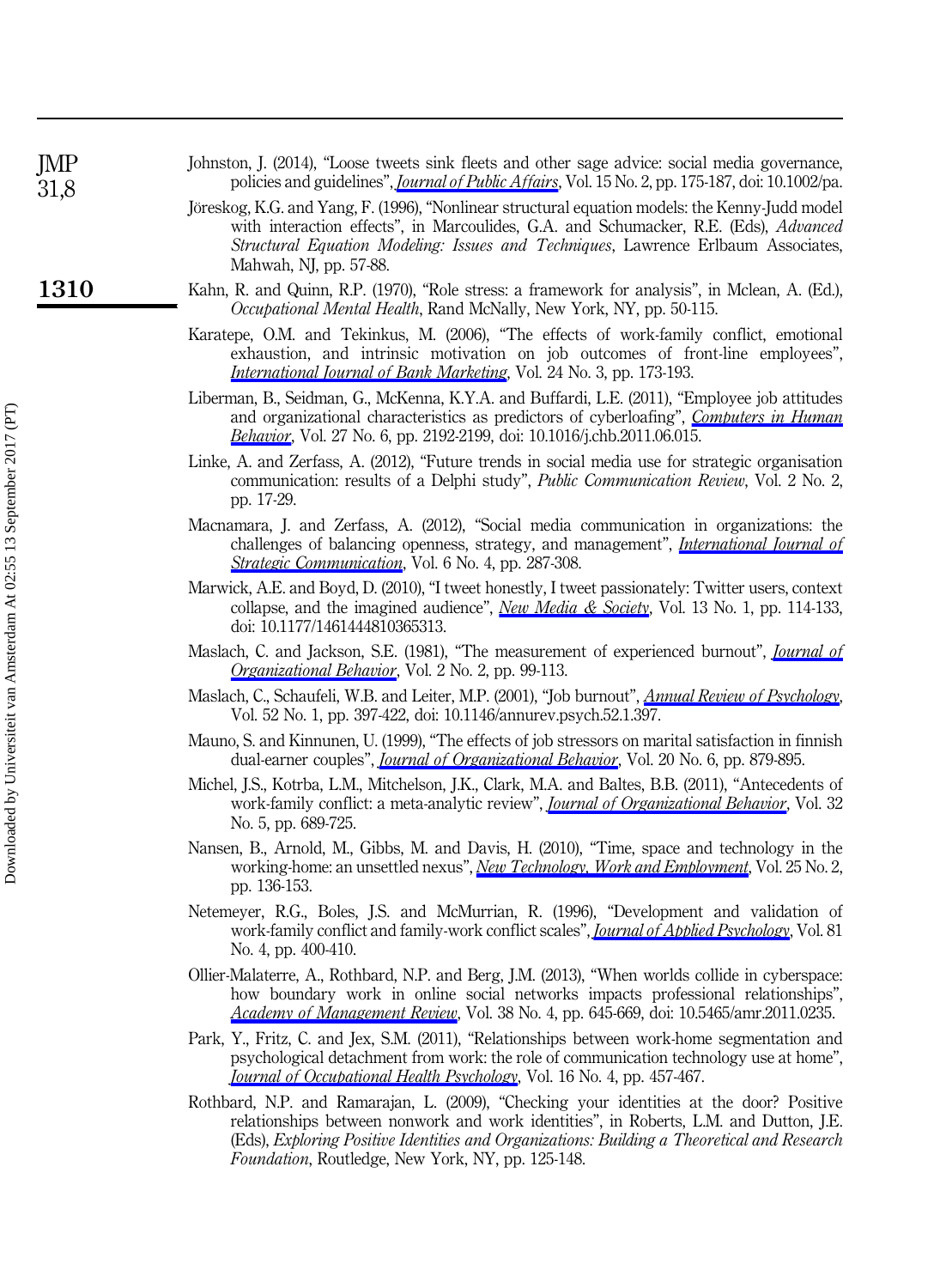| JMP<br>31,8 | Johnston, J. (2014), "Loose tweets sink fleets and other sage advice: social media governance,<br>policies and guidelines", <i>Journal of Public Affairs</i> , Vol. 15 No. 2, pp. 175-187, doi: 10.1002/pa.                                                                                                                           |
|-------------|---------------------------------------------------------------------------------------------------------------------------------------------------------------------------------------------------------------------------------------------------------------------------------------------------------------------------------------|
|             | Jöreskog, K.G. and Yang, F. (1996), "Nonlinear structural equation models: the Kenny-Judd model<br>with interaction effects", in Marcoulides, G.A. and Schumacker, R.E. (Eds), Advanced<br>Structural Equation Modeling: Issues and Techniques, Lawrence Erlbaum Associates,<br>Mahwah, NJ, pp. 57-88.                                |
| 1310        | Kahn, R. and Quinn, R.P. (1970), "Role stress: a framework for analysis", in Mclean, A. (Ed.),<br><i>Occupational Mental Health</i> , Rand McNally, New York, NY, pp. 50-115.                                                                                                                                                         |
|             | Karatepe, O.M. and Tekinkus, M. (2006), "The effects of work-family conflict, emotional<br>exhaustion, and intrinsic motivation on job outcomes of front-line employees",<br><i>International Journal of Bank Marketing</i> , Vol. 24 No. 3, pp. 173-193.                                                                             |
|             | Liberman, B., Seidman, G., McKenna, K.Y.A. and Buffardi, L.E. (2011), "Employee job attitudes<br>and organizational characteristics as predictors of cyberloafing", <i>Computers in Human</i><br>Behavior, Vol. 27 No. 6, pp. 2192-2199, doi: 10.1016/j.chb.2011.06.015.                                                              |
|             | Linke, A. and Zerfass, A. (2012), "Future trends in social media use for strategic organisation<br>communication: results of a Delphi study", <i>Public Communication Review</i> , Vol. 2 No. 2,<br>pp. 17-29.                                                                                                                        |
|             | Macnamara, J. and Zerfass, A. (2012), "Social media communication in organizations: the<br>challenges of balancing openness, strategy, and management", <i>International Journal of</i><br>Strategic Communication, Vol. 6 No. 4, pp. 287-308.                                                                                        |
|             | Marwick, A.E. and Boyd, D. (2010), "I tweet honestly, I tweet passionately: Twitter users, context<br>collapse, and the imagined audience", <i>New Media &amp; Society</i> , Vol. 13 No. 1, pp. 114-133,<br>doi: 10.1177/1461444810365313.                                                                                            |
|             | Maslach, C. and Jackson, S.E. (1981), "The measurement of experienced burnout", <i>Journal of</i><br><i>Organizational Behavior</i> , Vol. 2 No. 2, pp. 99-113.                                                                                                                                                                       |
|             | Maslach, C., Schaufeli, W.B. and Leiter, M.P. (2001), "Job burnout", <i>Annual Review of Psychology</i> ,<br>Vol. 52 No. 1, pp. 397-422, doi: 10.1146/annurev.psych.52.1.397.                                                                                                                                                         |
|             | Mauno, S. and Kinnunen, U. (1999), "The effects of job stressors on marital satisfaction in finnish<br>dual-earner couples", <i>Journal of Organizational Behavior</i> , Vol. 20 No. 6, pp. 879-895.                                                                                                                                  |
|             | Michel, J.S., Kotrba, L.M., Mitchelson, J.K., Clark, M.A. and Baltes, B.B. (2011), "Antecedents of<br>work-family conflict: a meta-analytic review", <i>Journal of Organizational Behavior</i> , Vol. 32<br>No. 5, pp. 689-725.                                                                                                       |
|             | Nansen, B., Arnold, M., Gibbs, M. and Davis, H. (2010), "Time, space and technology in the<br>working-home: an unsettled nexus", <i>New Technology</i> , <i>Work and Employment</i> , Vol. 25 No. 2,<br>pp. 136-153.                                                                                                                  |
|             | Netemeyer, R.G., Boles, J.S. and McMurrian, R. (1996), "Development and validation of<br>work-family conflict and family-work conflict scales", <i>Journal of Abblied Psychology</i> , Vol. 81<br>No. 4, pp. 400-410.                                                                                                                 |
|             | Ollier-Malaterre, A., Rothbard, N.P. and Berg, J.M. (2013), "When worlds collide in cyberspace:<br>how boundary work in online social networks impacts professional relationships",<br>Academy of Management Review, Vol. 38 No. 4, pp. 645-669, doi: 10.5465/amr.2011.0235.                                                          |
|             | Park, Y., Fritz, C. and Jex, S.M. (2011), "Relationships between work-home segmentation and<br>psychological detachment from work: the role of communication technology use at home",<br>Journal of Occupational Health Psychology, Vol. 16 No. 4, pp. 457-467.                                                                       |
|             | Rothbard, N.P. and Ramarajan, L. (2009), "Checking your identities at the door? Positive<br>relationships between nonwork and work identities", in Roberts, L.M. and Dutton, J.E.<br>(Eds), Exploring Positive Identities and Organizations: Building a Theoretical and Research<br>Foundation, Routledge, New York, NY, pp. 125-148. |

Downloaded by Universiteit van Amsterdam At 02:55 13 September 2017 (PT) Downloaded by Universiteit van Amsterdam At 02:55 13 September 2017 (PT)